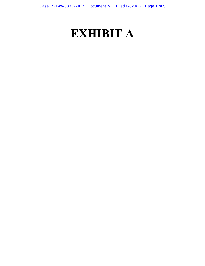# **EXHIBIT A**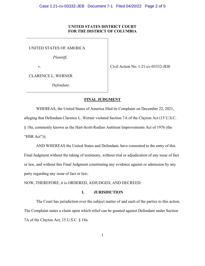## **UNITED STATES DISTRICT COURT FOR THE DISTRICT OF COLUMBIA**

UNITED STATES OF AMERICA

*Plaintiff*,

v. Civil Action No. 1:21-cv-03332-JEB

CLARENCE L. WERNER

*Defendant*.

## **FINAL JUDGMENT**

 alleging that Defendant Clarence L. Werner violated Section 7A of the Clayton Act (15 U.S.C. "HSR Act")); "HSR Act")); AND WHEREAS the United States and Defendant, have consented to the entry of this WHEREAS, the United States of America filed its Complaint on December 22, 2021, § 18a, commonly known as the Hart-Scott-Rodino Antitrust Improvements Act of 1976 (the

 party regarding any issue of fact or law; Final Judgment without the taking of testimony, without trial or adjudication of any issue of fact or law, and without this Final Judgment constituting any evidence against or admission by any

NOW, THEREFORE, it is ORDERED, ADJUDGED, AND DECREED:

# **I. JURISDICTION**

 7A of the Clayton Act, 15 U.S.C. § 18a. The Court has jurisdiction over the subject matter of and each of the parties to this action. The Complaint states a claim upon which relief can be granted against Defendant under Section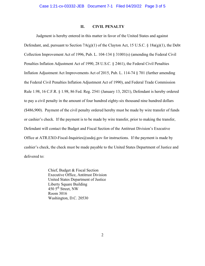## **II. CIVIL PENALTY**

 Judgment is hereby entered in this matter in favor of the United States and against Defendant, and, pursuant to Section 7A(g)(1) of the Clayton Act, 15 U.S.C. § 18a(g)(1), the Debt Penalties Inflation Adjustment Act of 1990, 28 U.S.C. § 2461), the Federal Civil Penalties to pay a civil penalty in the amount of four hundred eighty-six thousand nine hundred dollars (\$486,900). Payment of the civil penalty ordered hereby must be made by wire transfer of funds or cashier's check. If the payment is to be made by wire transfer, prior to making the transfer, Defendant will contact the Budget and Fiscal Section of the Antitrust Division's Executive Office at [ATR.EXO-Fiscal-Inquiries@usdoj.gov](mailto:ATR.EXO-Fiscal-Inquiries@usdoj.gov) for instructions. If the payment is made by cashier's check, the check must be made payable to the United States Department of Justice and Collection Improvement Act of 1996, Pub. L. 104-134 § 31001(s) (amending the Federal Civil Inflation Adjustment Act Improvements Act of 2015, Pub. L. 114-74 § 701 (further amending the Federal Civil Penalties Inflation Adjustment Act of 1990), and Federal Trade Commission Rule 1.98, 16 C.F.R. § 1.98, 86 Fed. Reg. 2541 (January 13, 2021), Defendant is hereby ordered delivered to:

> Liberty Square Building<br>450 5<sup>th</sup> Street, NW 450 5<sup>th</sup> Street, NW Chief, Budget & Fiscal Section Executive Office, Antitrust Division United States Department of Justice Room 3016 Washington, D.C. 20530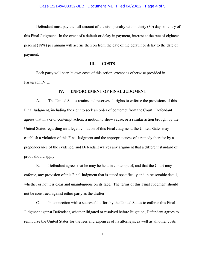this Final Judgment. In the event of a default or delay in payment, interest at the rate of eighteen percent (18%) per annum will accrue thereon from the date of the default or delay to the date of Defendant must pay the full amount of the civil penalty within thirty (30) days of entry of payment.

#### **III. III. COSTS**

 Each party will bear its own costs of this action, except as otherwise provided in Paragraph IV.C.

## **IV. ENFORCEMENT OF FINAL JUDGMENT**

 Final Judgment, including the right to seek an order of contempt from the Court. Defendant agrees that in a civil contempt action, a motion to show cause, or a similar action brought by the United States regarding an alleged violation of this Final Judgment, the United States may A. The United States retains and reserves all rights to enforce the provisions of this establish a violation of this Final Judgment and the appropriateness of a remedy therefor by a preponderance of the evidence, and Defendant waives any argument that a different standard of proof should apply.

 enforce, any provision of this Final Judgment that is stated specifically and in reasonable detail, whether or not it is clear and unambiguous on its face. The terms of this Final Judgment should B. Defendant agrees that he may be held in contempt of, and that the Court may not be construed against either party as the drafter.

C. In connection with a successful effort by the United States to enforce this Final Judgment against Defendant, whether litigated or resolved before litigation, Defendant agrees to reimburse the United States for the fees and expenses of its attorneys, as well as all other costs